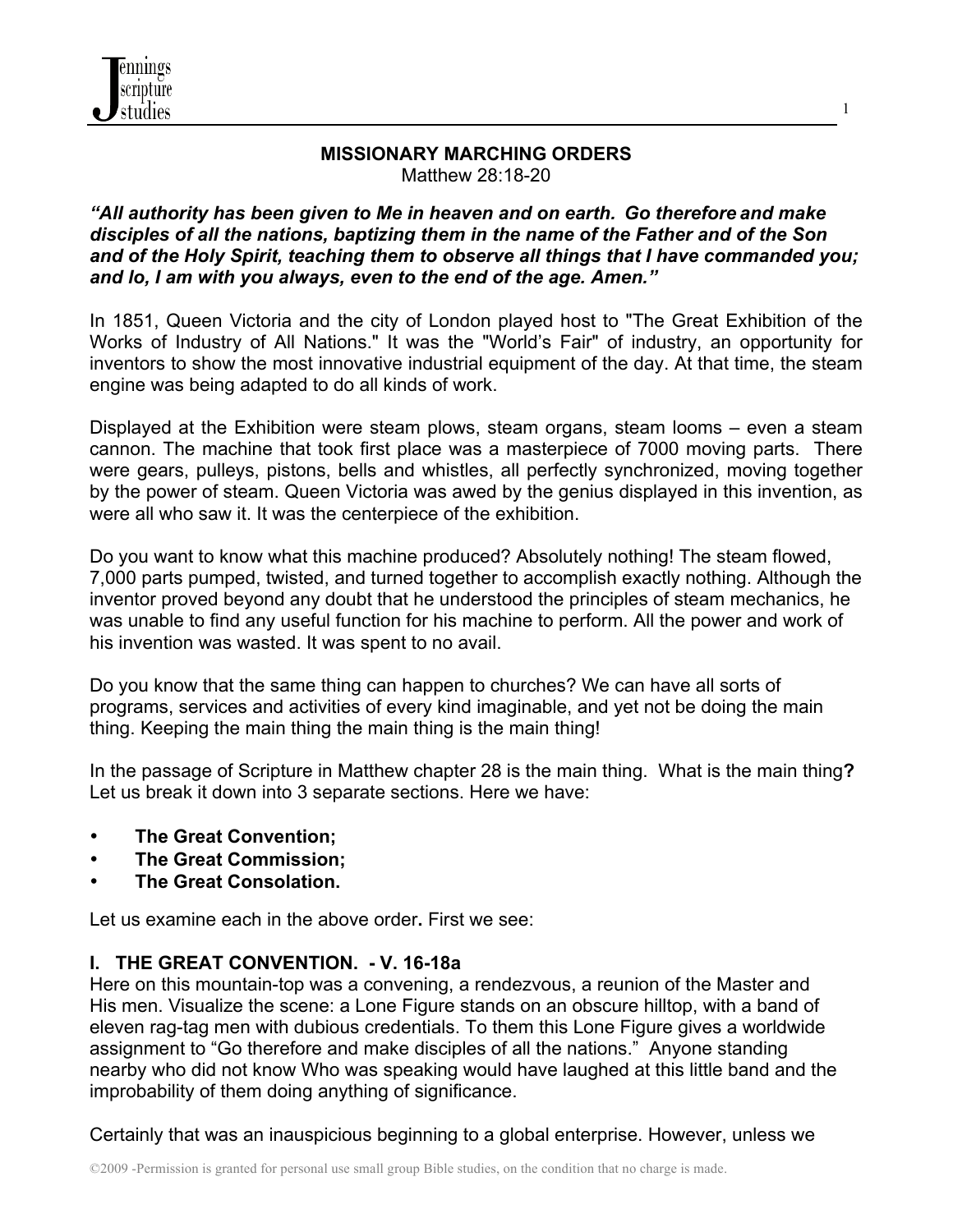

#### **MISSIONARY MARCHING ORDERS** Matthew 28:18-20

1

### *"All authority has been given to Me in heaven and on earth. Go therefore and make disciples of all the nations, baptizing them in the name of the Father and of the Son and of the Holy Spirit, teaching them to observe all things that I have commanded you; and lo, I am with you always, even to the end of the age. Amen."*

In 1851, Queen Victoria and the city of London played host to "The Great Exhibition of the Works of Industry of All Nations." It was the "World's Fair" of industry, an opportunity for inventors to show the most innovative industrial equipment of the day. At that time, the steam engine was being adapted to do all kinds of work.

Displayed at the Exhibition were steam plows, steam organs, steam looms – even a steam cannon. The machine that took first place was a masterpiece of 7000 moving parts. There were gears, pulleys, pistons, bells and whistles, all perfectly synchronized, moving together by the power of steam. Queen Victoria was awed by the genius displayed in this invention, as were all who saw it. It was the centerpiece of the exhibition.

Do you want to know what this machine produced? Absolutely nothing! The steam flowed, 7,000 parts pumped, twisted, and turned together to accomplish exactly nothing. Although the inventor proved beyond any doubt that he understood the principles of steam mechanics, he was unable to find any useful function for his machine to perform. All the power and work of his invention was wasted. It was spent to no avail.

Do you know that the same thing can happen to churches? We can have all sorts of programs, services and activities of every kind imaginable, and yet not be doing the main thing. Keeping the main thing the main thing is the main thing!

In the passage of Scripture in Matthew chapter 28 is the main thing. What is the main thing**?** Let us break it down into 3 separate sections. Here we have:

- **The Great Convention;**
- **The Great Commission;**
- **The Great Consolation.**

Let us examine each in the above order**.** First we see:

### **I. THE GREAT CONVENTION. - V. 16-18a**

Here on this mountain-top was a convening, a rendezvous, a reunion of the Master and His men. Visualize the scene: a Lone Figure stands on an obscure hilltop, with a band of eleven rag-tag men with dubious credentials. To them this Lone Figure gives a worldwide assignment to "Go therefore and make disciples of all the nations." Anyone standing nearby who did not know Who was speaking would have laughed at this little band and the improbability of them doing anything of significance.

Certainly that was an inauspicious beginning to a global enterprise. However, unless we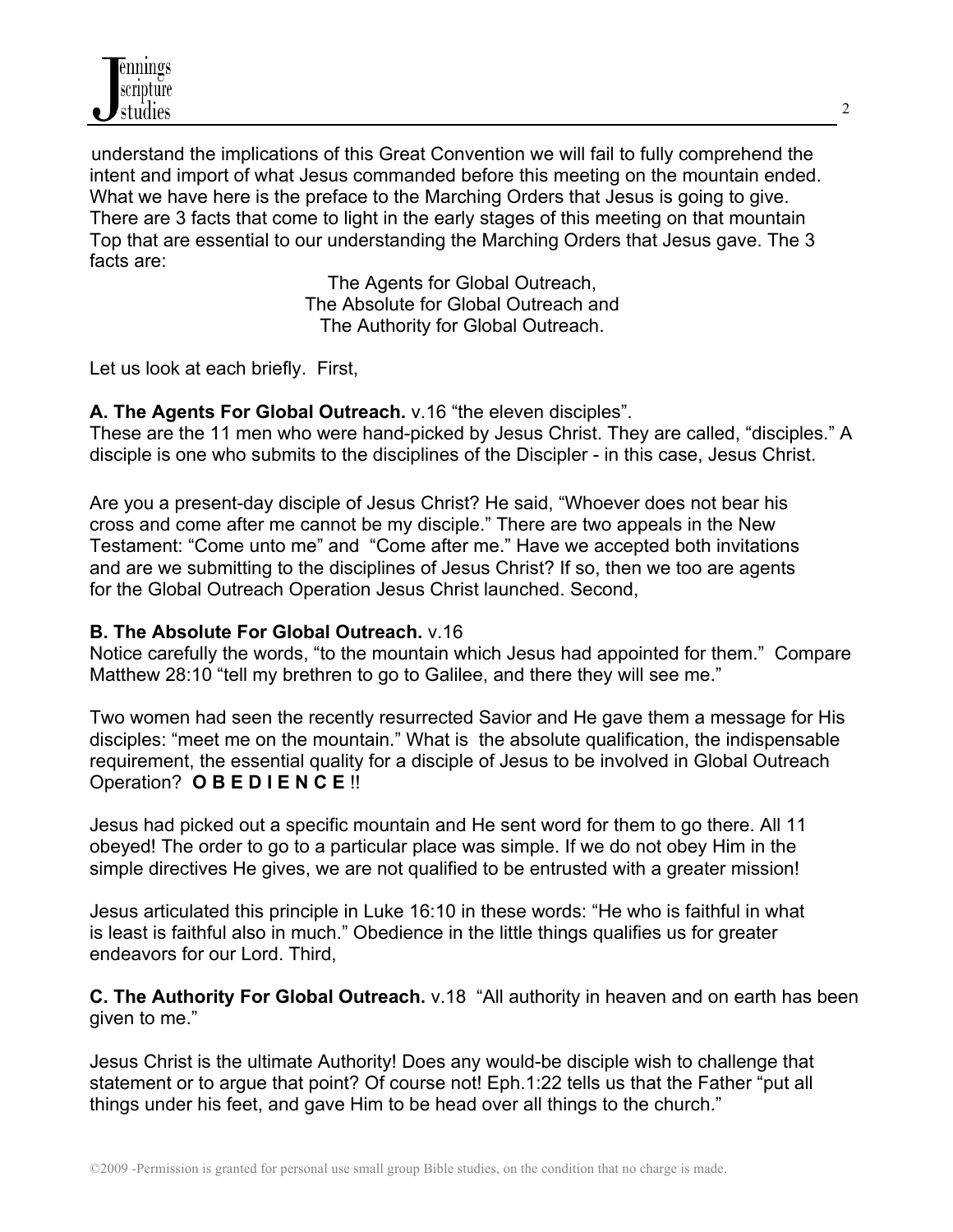understand the implications of this Great Convention we will fail to fully comprehend the intent and import of what Jesus commanded before this meeting on the mountain ended. What we have here is the preface to the Marching Orders that Jesus is going to give. There are 3 facts that come to light in the early stages of this meeting on that mountain Top that are essential to our understanding the Marching Orders that Jesus gave. The 3 facts are:

> The Agents for Global Outreach, The Absolute for Global Outreach and The Authority for Global Outreach.

Let us look at each briefly. First,

**A. The Agents For Global Outreach.** v.16 "the eleven disciples".

These are the 11 men who were hand-picked by Jesus Christ. They are called, "disciples." A disciple is one who submits to the disciplines of the Discipler - in this case, Jesus Christ.

Are you a present-day disciple of Jesus Christ? He said, "Whoever does not bear his cross and come after me cannot be my disciple." There are two appeals in the New Testament: "Come unto me" and "Come after me." Have we accepted both invitations and are we submitting to the disciplines of Jesus Christ? If so, then we too are agents for the Global Outreach Operation Jesus Christ launched. Second,

# **B. The Absolute For Global Outreach.** v.16

Notice carefully the words, "to the mountain which Jesus had appointed for them." Compare Matthew 28:10 "tell my brethren to go to Galilee, and there they will see me."

Two women had seen the recently resurrected Savior and He gave them a message for His disciples: "meet me on the mountain." What is the absolute qualification, the indispensable requirement, the essential quality for a disciple of Jesus to be involved in Global Outreach Operation? **O B E D I E N C E** !!

Jesus had picked out a specific mountain and He sent word for them to go there. All 11 obeyed! The order to go to a particular place was simple. If we do not obey Him in the simple directives He gives, we are not qualified to be entrusted with a greater mission!

Jesus articulated this principle in Luke 16:10 in these words: "He who is faithful in what is least is faithful also in much." Obedience in the little things qualifies us for greater endeavors for our Lord. Third,

**C. The Authority For Global Outreach.** v.18 "All authority in heaven and on earth has been given to me."

Jesus Christ is the ultimate Authority! Does any would-be disciple wish to challenge that statement or to argue that point? Of course not! Eph.1:22 tells us that the Father "put all things under his feet, and gave Him to be head over all things to the church."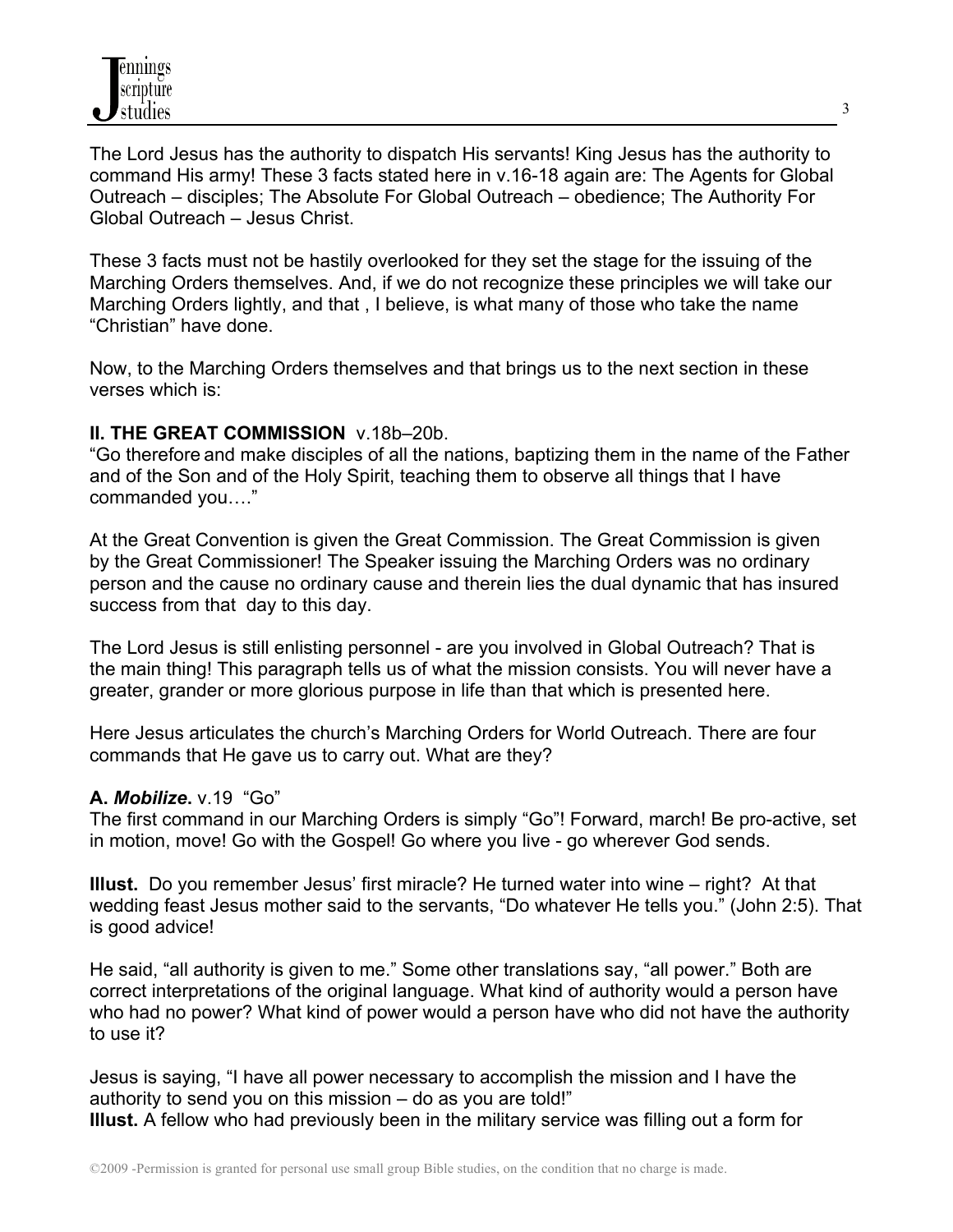The Lord Jesus has the authority to dispatch His servants! King Jesus has the authority to command His army! These 3 facts stated here in v.16-18 again are: The Agents for Global Outreach – disciples; The Absolute For Global Outreach – obedience; The Authority For Global Outreach – Jesus Christ.

These 3 facts must not be hastily overlooked for they set the stage for the issuing of the Marching Orders themselves. And, if we do not recognize these principles we will take our Marching Orders lightly, and that , I believe, is what many of those who take the name "Christian" have done.

Now, to the Marching Orders themselves and that brings us to the next section in these verses which is:

### **II. THE GREAT COMMISSION** v.18b–20b.

"Go therefore and make disciples of all the nations, baptizing them in the name of the Father and of the Son and of the Holy Spirit, teaching them to observe all things that I have commanded you…."

At the Great Convention is given the Great Commission. The Great Commission is given by the Great Commissioner! The Speaker issuing the Marching Orders was no ordinary person and the cause no ordinary cause and therein lies the dual dynamic that has insured success from that day to this day.

The Lord Jesus is still enlisting personnel - are you involved in Global Outreach? That is the main thing! This paragraph tells us of what the mission consists. You will never have a greater, grander or more glorious purpose in life than that which is presented here.

Here Jesus articulates the church's Marching Orders for World Outreach. There are four commands that He gave us to carry out. What are they?

### **A.** *Mobilize***.** v.19"Go"

The first command in our Marching Orders is simply "Go"! Forward, march! Be pro-active, set in motion, move! Go with the Gospel! Go where you live - go wherever God sends.

**Illust.** Do you remember Jesus' first miracle? He turned water into wine – right? At that wedding feast Jesus mother said to the servants, "Do whatever He tells you." (John 2:5). That is good advice!

He said, "all authority is given to me." Some other translations say, "all power." Both are correct interpretations of the original language. What kind of authority would a person have who had no power? What kind of power would a person have who did not have the authority to use it?

Jesus is saying, "I have all power necessary to accomplish the mission and I have the authority to send you on this mission – do as you are told!" **Illust.** A fellow who had previously been in the military service was filling out a form for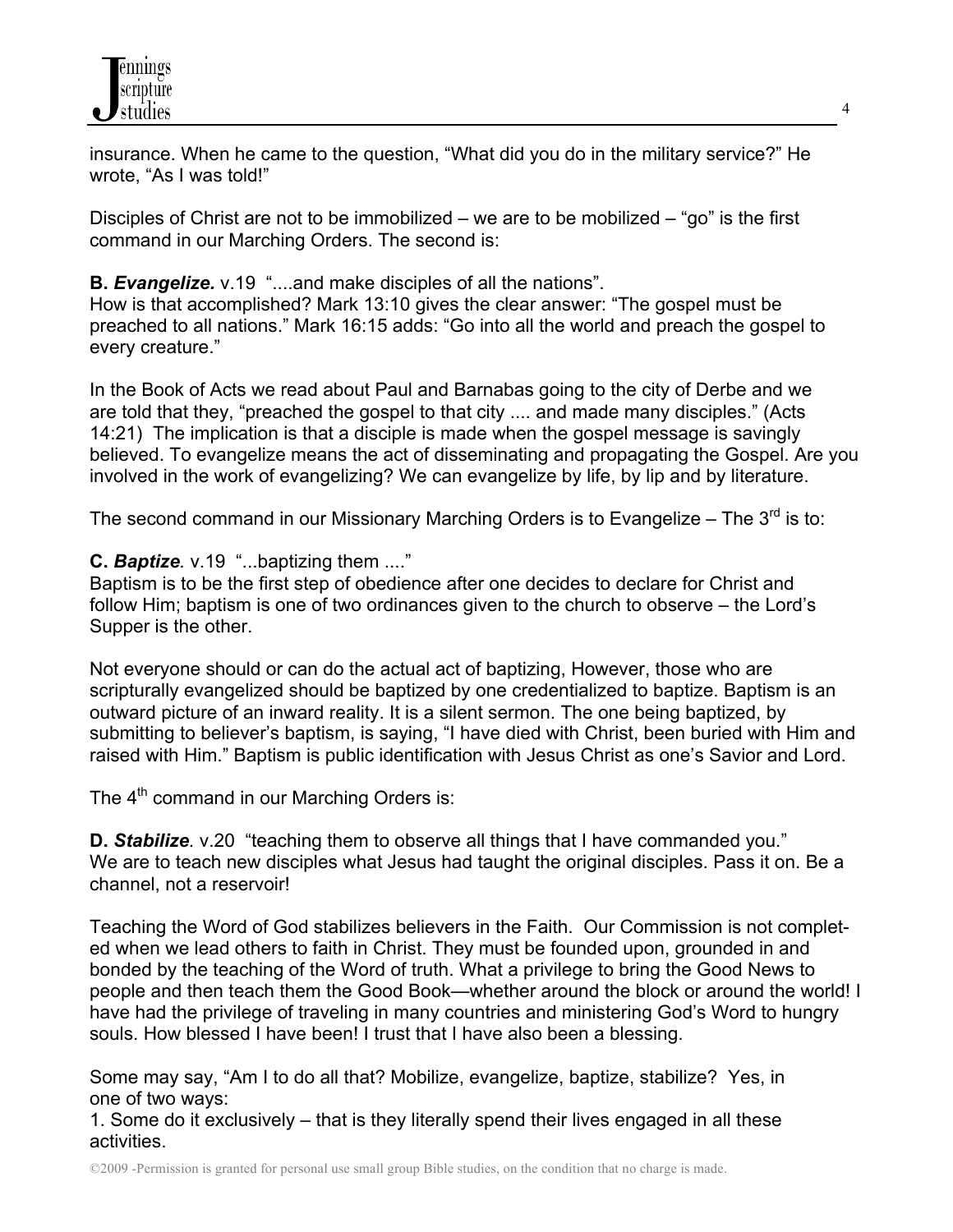

insurance. When he came to the question, "What did you do in the military service?" He wrote, "As I was told!"

Disciples of Christ are not to be immobilized – we are to be mobilized – "go" is the first command in our Marching Orders. The second is:

### **B.** *Evangelize.* v.19 "....and make disciples of all the nations".

How is that accomplished? Mark 13:10 gives the clear answer: "The gospel must be preached to all nations." Mark 16:15 adds: "Go into all the world and preach the gospel to every creature."

In the Book of Acts we read about Paul and Barnabas going to the city of Derbe and we are told that they, "preached the gospel to that city .... and made many disciples." (Acts 14:21) The implication is that a disciple is made when the gospel message is savingly believed. To evangelize means the act of disseminating and propagating the Gospel. Are you involved in the work of evangelizing? We can evangelize by life, by lip and by literature.

The second command in our Missionary Marching Orders is to Evangelize – The  $3^{\text{rd}}$  is to:

**C.** *Baptize.* v.19 "...baptizing them ...."

Baptism is to be the first step of obedience after one decides to declare for Christ and follow Him; baptism is one of two ordinances given to the church to observe – the Lord's Supper is the other.

Not everyone should or can do the actual act of baptizing, However, those who are scripturally evangelized should be baptized by one credentialized to baptize. Baptism is an outward picture of an inward reality. It is a silent sermon. The one being baptized, by submitting to believer's baptism, is saying, "I have died with Christ, been buried with Him and raised with Him." Baptism is public identification with Jesus Christ as one's Savior and Lord.

The 4<sup>th</sup> command in our Marching Orders is:

**D. Stabilize**, v.20 "teaching them to observe all things that I have commanded you." We are to teach new disciples what Jesus had taught the original disciples. Pass it on. Be a channel, not a reservoir!

Teaching the Word of God stabilizes believers in the Faith. Our Commission is not completed when we lead others to faith in Christ. They must be founded upon, grounded in and bonded by the teaching of the Word of truth. What a privilege to bring the Good News to people and then teach them the Good Book—whether around the block or around the world! I have had the privilege of traveling in many countries and ministering God's Word to hungry souls. How blessed I have been! I trust that I have also been a blessing.

Some may say, "Am I to do all that? Mobilize, evangelize, baptize, stabilize? Yes, in one of two ways:

1. Some do it exclusively – that is they literally spend their lives engaged in all these activities.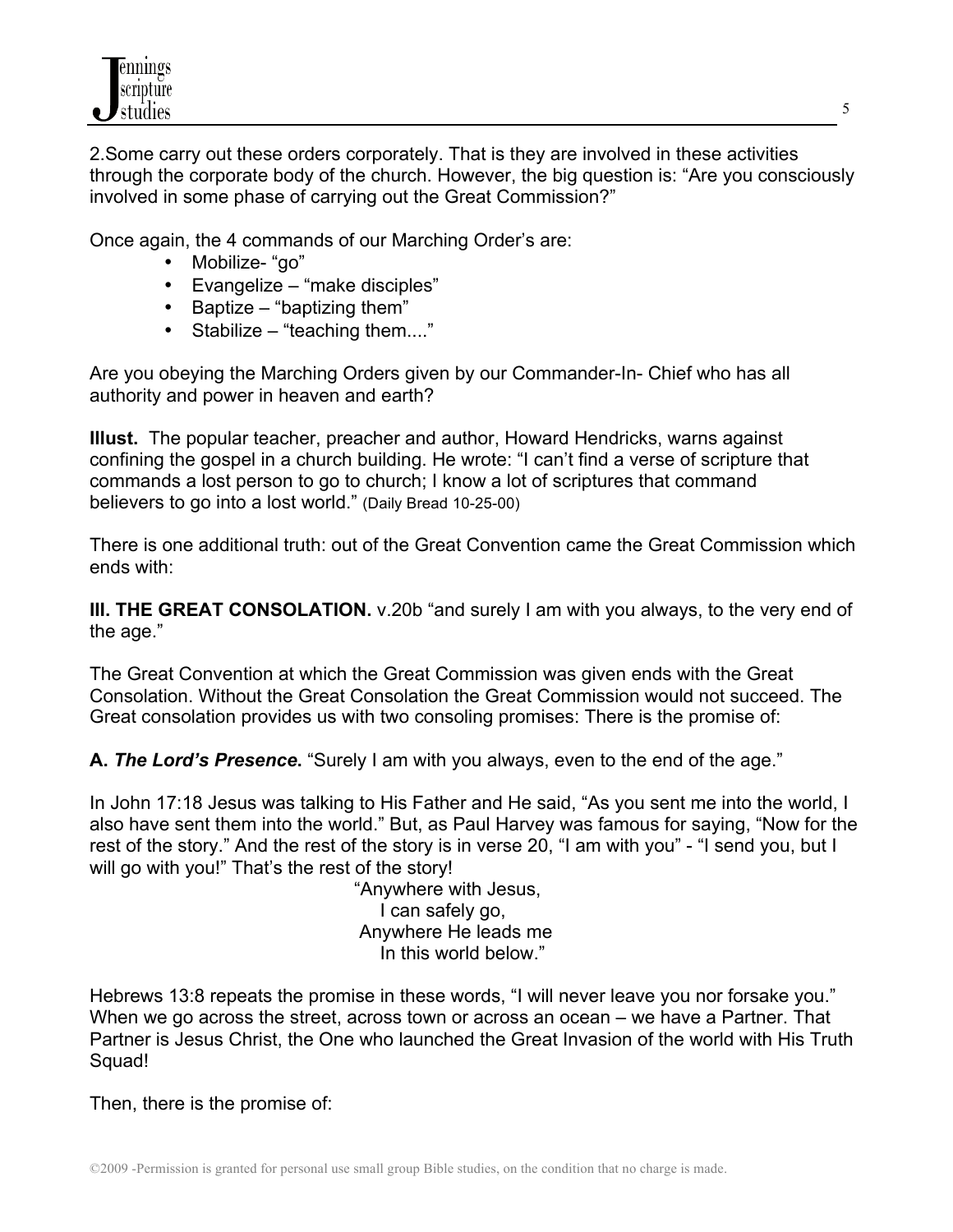2.Some carry out these orders corporately. That is they are involved in these activities through the corporate body of the church. However, the big question is: "Are you consciously involved in some phase of carrying out the Great Commission?"

Once again, the 4 commands of our Marching Order's are:

- Mobilize- "go"
- Evangelize "make disciples"
- Baptize "baptizing them"
- Stabilize "teaching them...."

Are you obeying the Marching Orders given by our Commander-In- Chief who has all authority and power in heaven and earth?

**Illust.** The popular teacher, preacher and author, Howard Hendricks, warns against confining the gospel in a church building. He wrote: "I can't find a verse of scripture that commands a lost person to go to church; I know a lot of scriptures that command believers to go into a lost world." (Daily Bread 10-25-00)

There is one additional truth: out of the Great Convention came the Great Commission which ends with:

**III. THE GREAT CONSOLATION.** v.20b "and surely I am with you always, to the very end of the age."

The Great Convention at which the Great Commission was given ends with the Great Consolation. Without the Great Consolation the Great Commission would not succeed. The Great consolation provides us with two consoling promises: There is the promise of:

**A.** *The Lord's Presence***.** "Surely I am with you always, even to the end of the age."

In John 17:18 Jesus was talking to His Father and He said, "As you sent me into the world, I also have sent them into the world." But, as Paul Harvey was famous for saying, "Now for the rest of the story." And the rest of the story is in verse 20, "I am with you" - "I send you, but I will go with you!" That's the rest of the story!

 "Anywhere with Jesus, I can safely go, Anywhere He leads me In this world below."

Hebrews 13:8 repeats the promise in these words, "I will never leave you nor forsake you." When we go across the street, across town or across an ocean – we have a Partner. That Partner is Jesus Christ, the One who launched the Great Invasion of the world with His Truth Squad!

Then, there is the promise of: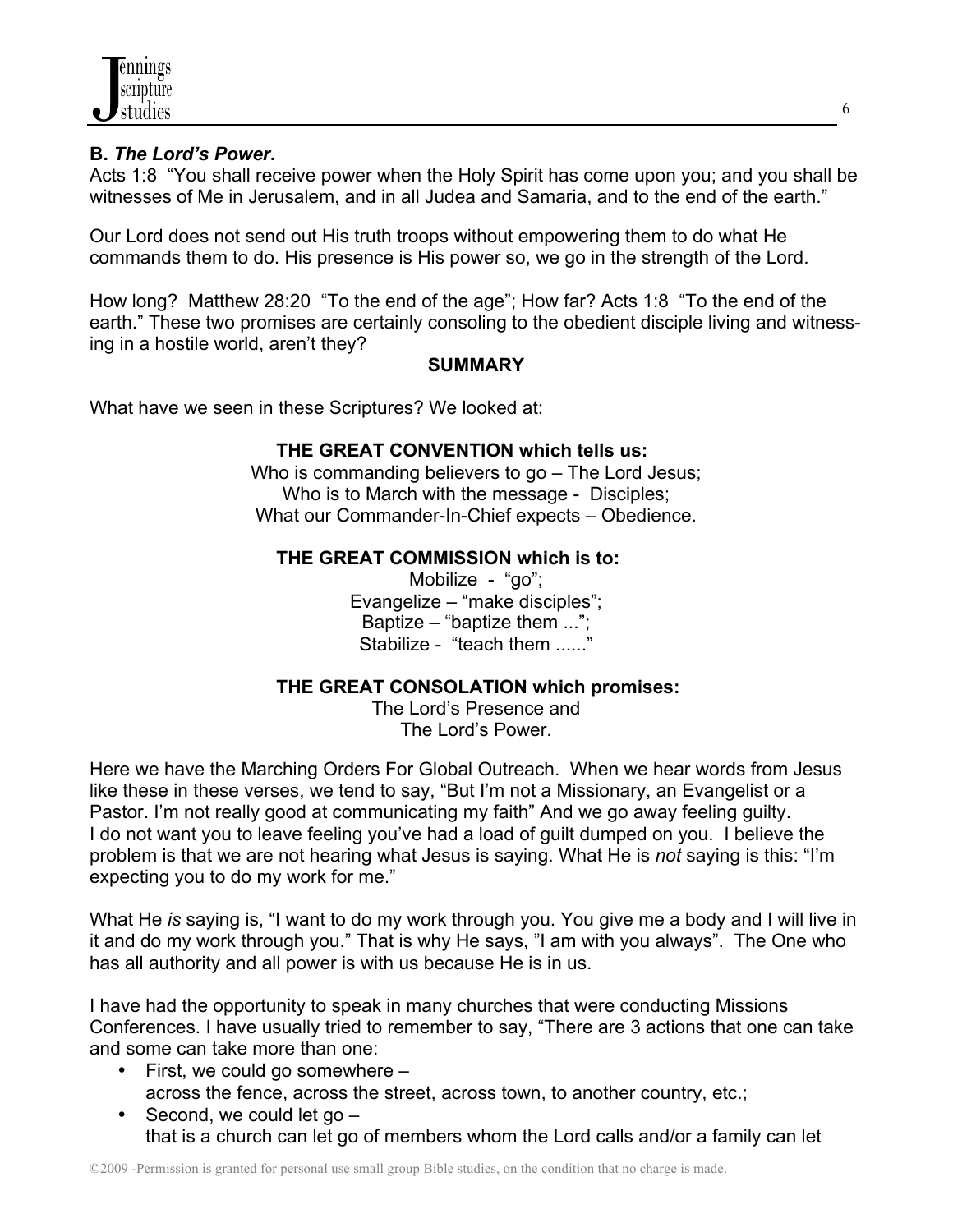

## **B.** *The Lord's Power***.**

Acts 1:8 "You shall receive power when the Holy Spirit has come upon you; and you shall be witnesses of Me in Jerusalem, and in all Judea and Samaria, and to the end of the earth."

Our Lord does not send out His truth troops without empowering them to do what He commands them to do. His presence is His power so, we go in the strength of the Lord.

How long? Matthew 28:20 "To the end of the age"; How far? Acts 1:8 "To the end of the earth." These two promises are certainly consoling to the obedient disciple living and witnessing in a hostile world, aren't they?

#### **SUMMARY**

What have we seen in these Scriptures? We looked at:

### **THE GREAT CONVENTION which tells us:**

Who is commanding believers to go – The Lord Jesus; Who is to March with the message - Disciples; What our Commander-In-Chief expects – Obedience.

### **THE GREAT COMMISSION which is to:**

Mobilize - "go"; Evangelize – "make disciples"; Baptize – "baptize them  $\ldots$ "; Stabilize - "teach them ....."

### **THE GREAT CONSOLATION which promises:**

The Lord's Presence and The Lord's Power.

Here we have the Marching Orders For Global Outreach. When we hear words from Jesus like these in these verses, we tend to say, "But I'm not a Missionary, an Evangelist or a Pastor. I'm not really good at communicating my faith" And we go away feeling guilty. I do not want you to leave feeling you've had a load of guilt dumped on you. I believe the problem is that we are not hearing what Jesus is saying. What He is *not* saying is this: "I'm expecting you to do my work for me."

What He *is* saying is, "I want to do my work through you. You give me a body and I will live in it and do my work through you." That is why He says, "I am with you always". The One who has all authority and all power is with us because He is in us.

I have had the opportunity to speak in many churches that were conducting Missions Conferences. I have usually tried to remember to say, "There are 3 actions that one can take and some can take more than one:

- First, we could go somewhere across the fence, across the street, across town, to another country, etc.;
- Second, we could let go that is a church can let go of members whom the Lord calls and/or a family can let